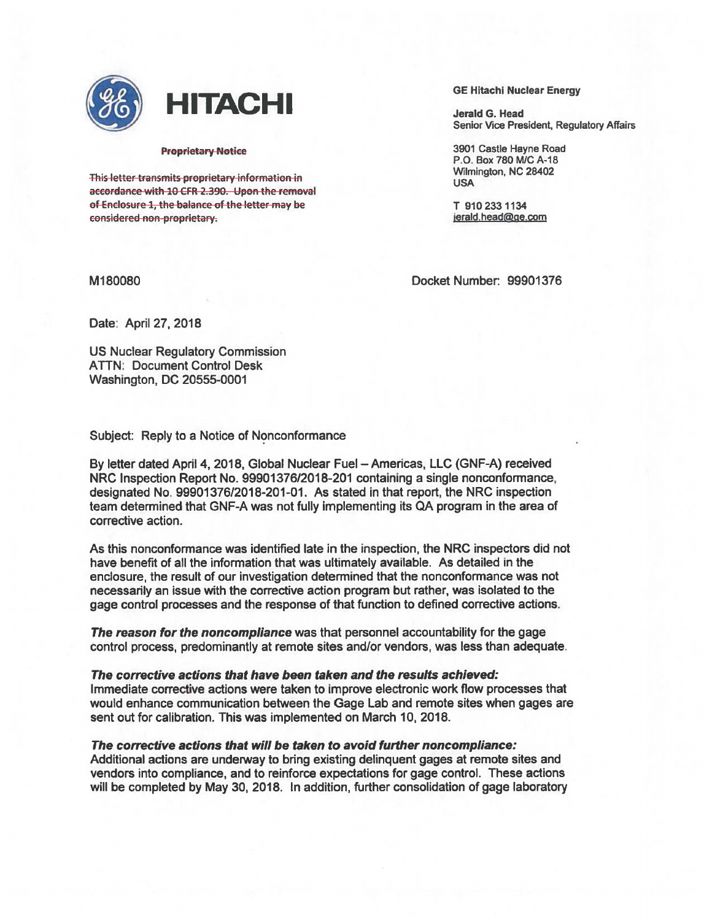

## • **HITACHI**

## Proprietary Notice

This letter transmits proprietary information in accordance with 10 CFR 2.390. Upon the removal of Enclosure 1, the balance of the letter may be considered non-proprietary.

GE Hitachi Nuclear Energy

Jerald G. Head Senior Vice President, Regulatory Affairs

3901 Castle Hayne Road P.O. Box 780 M/C A-18 Wilmington, NC 28402 USA

T 910 2331134 jerald.head@ge.com

M180080

Docket Number: 99901376

Date: April 27, 2018

US Nuclear Regulatory Commission ATTN: Document Control Desk Washington, DC 20555-0001

Subject: Reply to a Notice of Nonconformance

By letter dated April 4, 2018, Global Nuclear Fuel- Americas, LLC (GNF-A) received NRC Inspection Report No. 99901376/2018-201 containing a single nonconformance, designated No. 99901376/2018-201-01. As stated in that report, the NRC inspection team determined that GNF-A was not fully Implementing its QA program in the area of corrective action.

As this nonconformance was identified late in the inspection, the NRC inspectors did not have benefrt of all the information that was ultimately available. As detailed in the enclosure, the result of our investigation determined that the nonconformance was not necessarily an issue with the corrective action program but rather, was isolated to the gage control processes and the response of that function to defined corrective actions.

The reason for the noncompliance was that personnel accountability for the gage control process, predominantly at remote sites and/or vendors, was less than adequate.

The corrective actions that have been taken and the results achieved: Immediate corrective actions were taken to improve electronic work flow processes that would enhance communication between the Gage Lab and remote sites when gages are sent out for calibration. This was implemented on March 10, 2018.

The corrective actions that will be taken to avoid further noncompliance:

Additional actions are underway to bring existing delinquent gages at remote sites and vendors into compliance, and to reinforce expectations for gage control. These actions will be completed by May 30, 2018. In addition, further consolidation of gage laboratory